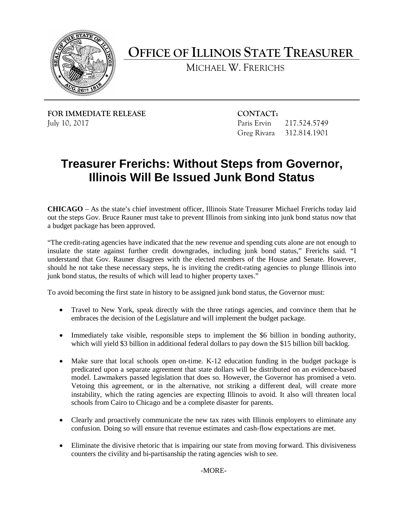

**OFFICE OF ILLINOIS STATE TREASURER** 

MICHAEL W. FRERICHS

**FOR IMMEDIATE RELEASE CONTACT:** July 10, 2017

Paris Ervin 217.524.5749 Greg Rivara 312.814.1901

## **Treasurer Frerichs: Without Steps from Governor, Illinois Will Be Issued Junk Bond Status**

 **CHICAGO** – As the state's chief investment officer, Illinois State Treasurer Michael Frerichs today laid out the steps Gov. Bruce Rauner must take to prevent Illinois from sinking into junk bond status now that a budget package has been approved.

 "The credit-rating agencies have indicated that the new revenue and spending cuts alone are not enough to insulate the state against further credit downgrades, including junk bond status," Frerichs said. "I understand that Gov. Rauner disagrees with the elected members of the House and Senate. However, should he not take these necessary steps, he is inviting the credit-rating agencies to plunge Illinois into junk bond status, the results of which will lead to higher property taxes."

To avoid becoming the first state in history to be assigned junk bond status, the Governor must:

- Travel to New York, speak directly with the three ratings agencies, and convince them that he embraces the decision of the Legislature and will implement the budget package.
- which will yield \$3 billion in additional federal dollars to pay down the \$15 billion bill backlog. • Immediately take visible, responsible steps to implement the \$6 billion in bonding authority,
- Make sure that local schools open on-time. K-12 education funding in the budget package is predicated upon a separate agreement that state dollars will be distributed on an evidence-based Vetoing this agreement, or in the alternative, not striking a different deal, will create more schools from Cairo to Chicago and be a complete disaster for parents. model. Lawmakers passed legislation that does so. However, the Governor has promised a veto. instability, which the rating agencies are expecting Illinois to avoid. It also will threaten local
- • Clearly and proactively communicate the new tax rates with Illinois employers to eliminate any confusion. Doing so will ensure that revenue estimates and cash-flow expectations are met.
- • Eliminate the divisive rhetoric that is impairing our state from moving forward. This divisiveness counters the civility and bi-partisanship the rating agencies wish to see.

-MORE